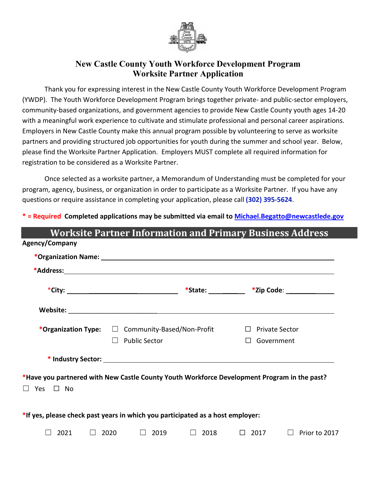

### **New Castle County Youth Workforce Development Program Worksite Partner Application**

Thank you for expressing interest in the New Castle County Youth Workforce Development Program (YWDP). The Youth Workforce Development Program brings together private- and public-sector employers, community-based organizations, and government agencies to provide New Castle County youth ages 14-20 with a meaningful work experience to cultivate and stimulate professional and personal career aspirations. Employers in New Castle County make this annual program possible by volunteering to serve as worksite partners and providing structured job opportunities for youth during the summer and school year. Below, please find the Worksite Partner Application. Employers MUST complete all required information for registration to be considered as a Worksite Partner.

Once selected as a worksite partner, a Memorandum of Understanding must be completed for your program, agency, business, or organization in order to participate as a Worksite Partner. If you have any questions or require assistance in completing your application, please call **(302) 395-5624**.

**\* = Required Completed applications may be submitted via email t[o Michael.Begatto@newcastlede.gov](mailto:Michael.Begatto@newcastlede.gov)**

| <b>Worksite Partner Information and Primary Business Address</b>                            |                                                                                   |             |                        |               |  |  |  |
|---------------------------------------------------------------------------------------------|-----------------------------------------------------------------------------------|-------------|------------------------|---------------|--|--|--|
| Agency/Company                                                                              |                                                                                   |             |                        |               |  |  |  |
|                                                                                             |                                                                                   |             |                        |               |  |  |  |
|                                                                                             |                                                                                   |             |                        |               |  |  |  |
|                                                                                             |                                                                                   |             |                        |               |  |  |  |
|                                                                                             |                                                                                   |             |                        |               |  |  |  |
|                                                                                             | *Organization Type: $\square$ Community-Based/Non-Profit $\square$ Private Sector |             |                        |               |  |  |  |
|                                                                                             | <b>Public Sector</b><br>$\Box$                                                    |             | $\Box$ Government      |               |  |  |  |
|                                                                                             |                                                                                   |             |                        |               |  |  |  |
| *Have you partnered with New Castle County Youth Workforce Development Program in the past? |                                                                                   |             |                        |               |  |  |  |
| $\Box$ Yes $\Box$ No                                                                        |                                                                                   |             |                        |               |  |  |  |
| *If yes, please check past years in which you participated as a host employer:              |                                                                                   |             |                        |               |  |  |  |
| 2021<br>$\Box$                                                                              | 2020 — 2020<br>2019<br>$\perp$                                                    | $\Box$ 2018 | $\Box$ 2017<br>$\perp$ | Prior to 2017 |  |  |  |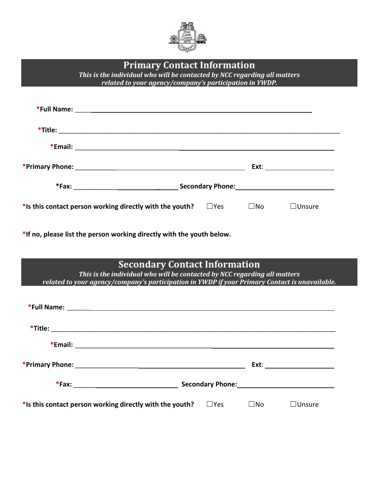

|                                                                                                | <b>Primary Contact Information</b><br>This is the individual who will be contacted by NCC regarding all matters<br>related to your agency/company's participation in YWDP. |            |              |               |
|------------------------------------------------------------------------------------------------|----------------------------------------------------------------------------------------------------------------------------------------------------------------------------|------------|--------------|---------------|
|                                                                                                |                                                                                                                                                                            |            |              |               |
|                                                                                                |                                                                                                                                                                            |            |              |               |
|                                                                                                |                                                                                                                                                                            |            |              |               |
|                                                                                                |                                                                                                                                                                            |            |              |               |
|                                                                                                |                                                                                                                                                                            |            |              |               |
| *Is this contact person working directly with the youth? $\square$ Yes $\square$ No            |                                                                                                                                                                            |            |              | $\Box$ Unsure |
| *If no, please list the person working directly with the youth below.                          |                                                                                                                                                                            |            |              |               |
| related to your agency/company's participation in YWDP if your Primary Contact is unavailable. | <b>Secondary Contact Information</b><br>This is the individual who will be contacted by NCC regarding all matters                                                          |            |              |               |
|                                                                                                |                                                                                                                                                                            |            |              |               |
|                                                                                                |                                                                                                                                                                            |            |              |               |
|                                                                                                |                                                                                                                                                                            |            |              |               |
|                                                                                                |                                                                                                                                                                            |            |              |               |
|                                                                                                |                                                                                                                                                                            |            |              |               |
| *Is this contact person working directly with the youth?                                       |                                                                                                                                                                            | $\Box$ Yes | $\square$ No | $\Box$ Unsure |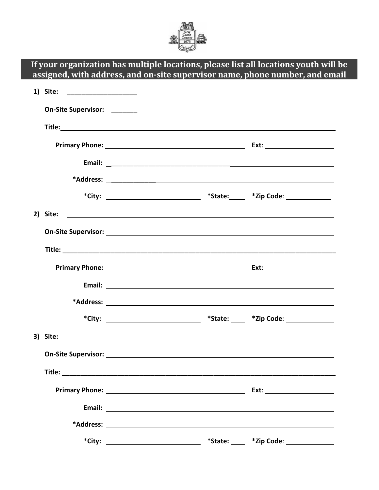

|          | If your organization has multiple locations, please list all locations youth will be<br>assigned, with address, and on-site supervisor name, phone number, and email |                              |
|----------|----------------------------------------------------------------------------------------------------------------------------------------------------------------------|------------------------------|
|          |                                                                                                                                                                      |                              |
|          |                                                                                                                                                                      |                              |
|          |                                                                                                                                                                      |                              |
|          |                                                                                                                                                                      |                              |
|          |                                                                                                                                                                      |                              |
|          |                                                                                                                                                                      |                              |
|          |                                                                                                                                                                      |                              |
|          |                                                                                                                                                                      |                              |
|          |                                                                                                                                                                      |                              |
|          |                                                                                                                                                                      |                              |
|          |                                                                                                                                                                      |                              |
|          |                                                                                                                                                                      |                              |
|          |                                                                                                                                                                      |                              |
|          |                                                                                                                                                                      |                              |
| 3) Site: |                                                                                                                                                                      |                              |
|          |                                                                                                                                                                      |                              |
|          |                                                                                                                                                                      |                              |
|          |                                                                                                                                                                      |                              |
|          |                                                                                                                                                                      |                              |
|          |                                                                                                                                                                      |                              |
|          |                                                                                                                                                                      | $*$ State: $*$ Zip Code: $*$ |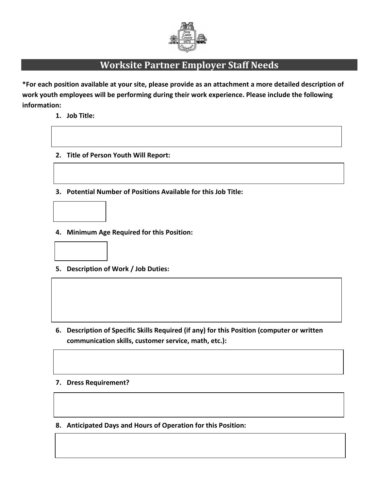

# **Worksite Partner Employer Staff Needs**

**\*For each position available at your site, please provide as an attachment a more detailed description of work youth employees will be performing during their work experience. Please include the following information:**

- **1. Job Title:**
- **2. Title of Person Youth Will Report:**
- **3. Potential Number of Positions Available for this Job Title:**



**4. Minimum Age Required for this Position:**



**5. Description of Work / Job Duties:**

**6. Description of Specific Skills Required (if any) for this Position (computer or written communication skills, customer service, math, etc.):**

#### **7. Dress Requirement?**

**8. Anticipated Days and Hours of Operation for this Position:**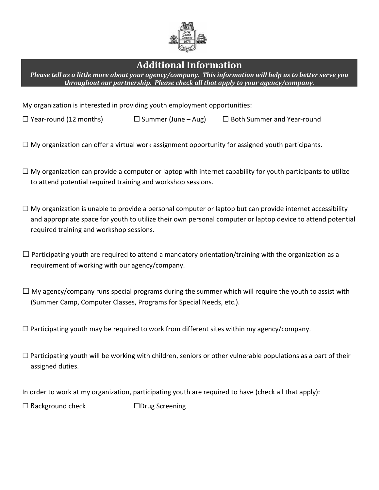

## **Additional Information**

*Please tell us a little more about your agency/company. This information will help us to better serve you throughout our partnership. Please check all that apply to your agency/company.*

My organization is interested in providing youth employment opportunities:

- ☐ Year-round (12 months) ☐ Summer (June Aug) ☐ Both Summer and Year-round
- $\Box$  My organization can offer a virtual work assignment opportunity for assigned youth participants.
- $\Box$  My organization can provide a computer or laptop with internet capability for youth participants to utilize to attend potential required training and workshop sessions.
- $\Box$  My organization is unable to provide a personal computer or laptop but can provide internet accessibility and appropriate space for youth to utilize their own personal computer or laptop device to attend potential required training and workshop sessions.
- $\Box$  Participating youth are required to attend a mandatory orientation/training with the organization as a requirement of working with our agency/company.
- $\Box$  My agency/company runs special programs during the summer which will require the youth to assist with (Summer Camp, Computer Classes, Programs for Special Needs, etc.).

 $\Box$  Participating youth may be required to work from different sites within my agency/company.

 $\Box$  Participating youth will be working with children, seniors or other vulnerable populations as a part of their assigned duties.

In order to work at my organization, participating youth are required to have (check all that apply):

☐ Background check ☐Drug Screening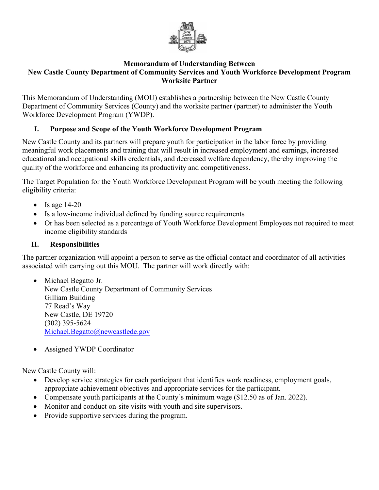

#### **Memorandum of Understanding Between New Castle County Department of Community Services and Youth Workforce Development Program Worksite Partner**

This Memorandum of Understanding (MOU) establishes a partnership between the New Castle County Department of Community Services (County) and the worksite partner (partner) to administer the Youth Workforce Development Program (YWDP).

### **I. Purpose and Scope of the Youth Workforce Development Program**

New Castle County and its partners will prepare youth for participation in the labor force by providing meaningful work placements and training that will result in increased employment and earnings, increased educational and occupational skills credentials, and decreased welfare dependency, thereby improving the quality of the workforce and enhancing its productivity and competitiveness.

The Target Population for the Youth Workforce Development Program will be youth meeting the following eligibility criteria:

- Is age  $14-20$
- Is a low-income individual defined by funding source requirements
- Or has been selected as a percentage of Youth Workforce Development Employees not required to meet income eligibility standards

#### **II. Responsibilities**

The partner organization will appoint a person to serve as the official contact and coordinator of all activities associated with carrying out this MOU. The partner will work directly with:

• Michael Begatto Jr. New Castle County Department of Community Services Gilliam Building 77 Read's Way New Castle, DE 19720 (302) 395-5624 [Michael.Begatto@newcastlede](mailto:Michael.begatto@newcastlede.gov).gov

• Assigned YWDP Coordinator

New Castle County will:

- Develop service strategies for each participant that identifies work readiness, employment goals, appropriate achievement objectives and appropriate services for the participant.
- Compensate youth participants at the County's minimum wage (\$12.50 as of Jan. 2022).
- Monitor and conduct on-site visits with youth and site supervisors.
- Provide supportive services during the program.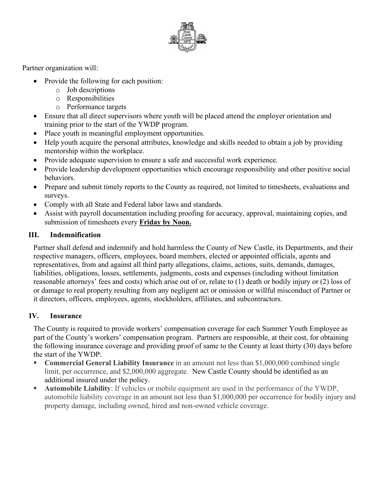

Partner organization will:

- Provide the following for each position:
	- o Job descriptions
	- o Responsibilities
	- o Performance targets
- Ensure that all direct supervisors where youth will be placed attend the employer orientation and training prior to the start of the YWDP program.
- Place youth in meaningful employment opportunities.
- Help youth acquire the personal attributes, knowledge and skills needed to obtain a job by providing mentorship within the workplace.
- Provide adequate supervision to ensure a safe and successful work experience.
- Provide leadership development opportunities which encourage responsibility and other positive social behaviors.
- Prepare and submit timely reports to the County as required, not limited to timesheets, evaluations and surveys.
- Comply with all State and Federal labor laws and standards.
- Assist with payroll documentation including proofing for accuracy, approval, maintaining copies, and submission of timesheets every **Friday by Noon.**

#### **III. Indemnification**

Partner shall defend and indemnify and hold harmless the County of New Castle, its Departments, and their respective managers, officers, employees, board members, elected or appointed officials, agents and representatives, from and against all third party allegations, claims, actions, suits, demands, damages, liabilities, obligations, losses, settlements, judgments, costs and expenses (including without limitation reasonable attorneys' fees and costs) which arise out of or, relate to (1) death or bodily injury or (2) loss of or damage to real property resulting from any negligent act or omission or willful misconduct of Partner or it directors, officers, employees, agents, stockholders, affiliates, and subcontractors.

#### **IV. Insurance**

The County is required to provide workers' compensation coverage for each Summer Youth Employee as part of the County's workers' compensation program. Partners are responsible, at their cost, for obtaining the following insurance coverage and providing proof of same to the County at least thirty (30) days before the start of the YWDP:

- **Commercial General Liability Insurance** in an amount not less than \$1,000,000 combined single limit, per occurrence, and \$2,000,000 aggregate. New Castle County should be identified as an additional insured under the policy.
- **Automobile Liability**: If vehicles or mobile equipment are used in the performance of the YWDP, automobile liability coverage in an amount not less than \$1,000,000 per occurrence for bodily injury and property damage, including owned, hired and non-owned vehicle coverage.